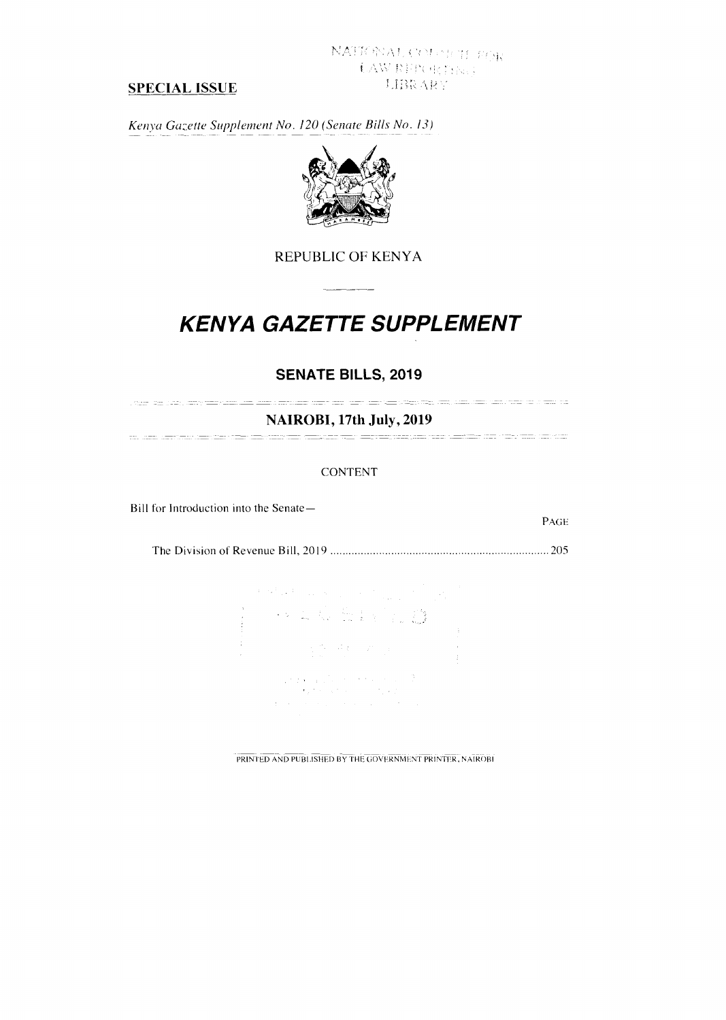# SPECIAL ISSUE

*Kenya Gazette Supplement No. 120 (Senate Bills No. 13)* 



# REPUBLIC OF KENYA

# **KENYA GAZETTE SUPPLEMENT**

# **SENATE BILLS, 2019**

NAIROBI, 17th July, 2019 

### CONTENT

Bill for Introduction into the Senate—

The Division of Revenue Bill, 2019 205

PAGE

|  |                                                                                                                                                                                                                                                                                                                                                                                                                         |                                                                                                                                                                                                             | $\mathbb{E}\left\{ \mathcal{O}^{(1)}_{\mathbb{E}}\mathbb{E}\left[\mathcal{O}^{(1)}_{\mathbb{E}}\right]_{\mathbb{E}}\right\} \leq \mathbb{E}\left[\mathcal{O}^{(1)}_{\mathbb{E}}\right]_{\mathbb{E}}\left\{ \mathcal{O}^{(1)}_{\mathbb{E}}\right\} \leq \mathbb{E}\left[\mathcal{O}^{(1)}_{\mathbb{E}}\right]_{\mathbb{E}}\left\{ \mathcal{O}^{(1)}_{\mathbb{E}}\right\} \leq \mathbb{E}\left[\mathcal{O}^{(1)}_{\mathbb{E}}\right]_{\$ |  |
|--|-------------------------------------------------------------------------------------------------------------------------------------------------------------------------------------------------------------------------------------------------------------------------------------------------------------------------------------------------------------------------------------------------------------------------|-------------------------------------------------------------------------------------------------------------------------------------------------------------------------------------------------------------|----------------------------------------------------------------------------------------------------------------------------------------------------------------------------------------------------------------------------------------------------------------------------------------------------------------------------------------------------------------------------------------------------------------------------------------|--|
|  |                                                                                                                                                                                                                                                                                                                                                                                                                         |                                                                                                                                                                                                             |                                                                                                                                                                                                                                                                                                                                                                                                                                        |  |
|  |                                                                                                                                                                                                                                                                                                                                                                                                                         |                                                                                                                                                                                                             |                                                                                                                                                                                                                                                                                                                                                                                                                                        |  |
|  |                                                                                                                                                                                                                                                                                                                                                                                                                         | $\label{eq:2.1} \begin{array}{l} \mathcal{L}_{\mathcal{A}}(\mathcal{F}_{\mathcal{B}}) = \partial \mathcal{A}(\mathcal{E}_{\mathcal{A}}) = \mathcal{E}_{\mathcal{A}}(\mathcal{E}_{\mathcal{B}}) \end{array}$ |                                                                                                                                                                                                                                                                                                                                                                                                                                        |  |
|  |                                                                                                                                                                                                                                                                                                                                                                                                                         |                                                                                                                                                                                                             |                                                                                                                                                                                                                                                                                                                                                                                                                                        |  |
|  | $\label{eq:2} \begin{split} \mathcal{F}(\mathbf{r},\mathbf{r}) = \mathbb{E}\left[\mathcal{F}(\mathbf{r},\mathbf{r})\mathbf{r} + \mathcal{F}(\mathbf{r},\mathbf{r})\mathbf{r} + \mathcal{F}(\mathbf{r},\mathbf{r})\right] \\ \mathcal{F}(\mathbf{r},\mathbf{r},\mathbf{r}) = \mathbb{E}\left[\mathcal{F}(\mathbf{r},\mathbf{r},\mathbf{r})\mathbf{r} + \mathcal{F}(\mathbf{r},\mathbf{r},\mathbf{r})\right] \end{split}$ |                                                                                                                                                                                                             |                                                                                                                                                                                                                                                                                                                                                                                                                                        |  |
|  |                                                                                                                                                                                                                                                                                                                                                                                                                         |                                                                                                                                                                                                             |                                                                                                                                                                                                                                                                                                                                                                                                                                        |  |
|  | $\mathbb{E}[\mathcal{F}(\mathcal{F})]$ , the state of the state of the state $\mathcal{F}(\mathcal{F})$                                                                                                                                                                                                                                                                                                                 |                                                                                                                                                                                                             |                                                                                                                                                                                                                                                                                                                                                                                                                                        |  |

PRINTED AND PUBLISHED BY THE GOVERNMENT PRINTER, NAIROBI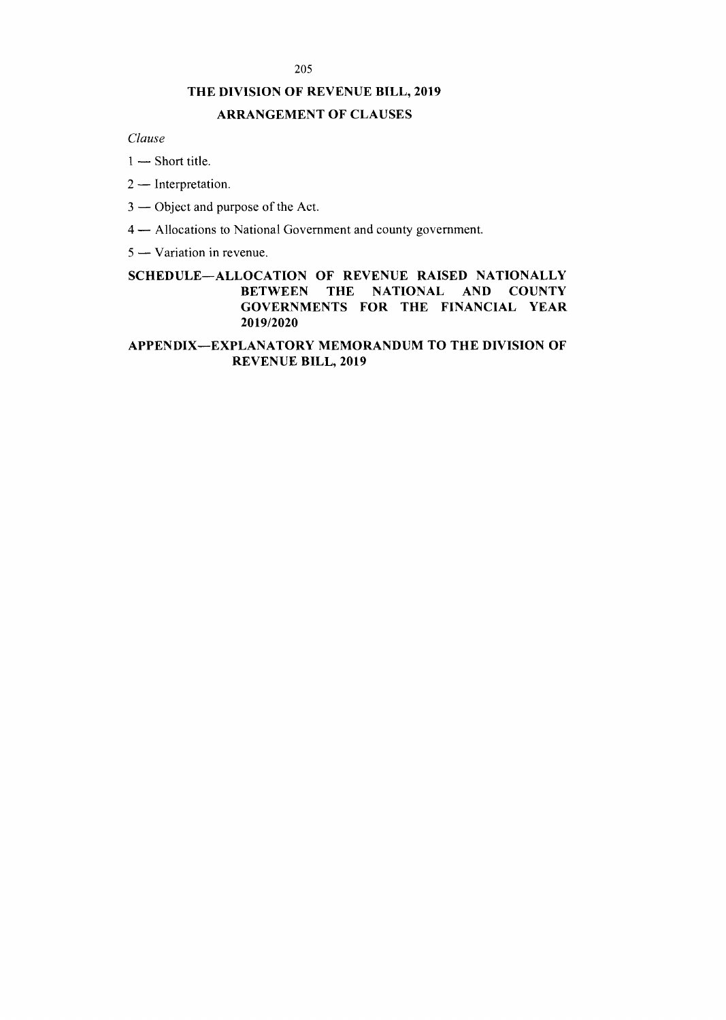### 205

## THE DIVISION OF REVENUE BILL, 2019

## ARRANGEMENT OF CLAUSES

*Clause* 

- *1* Short title.
- 2 Interpretation.
- 3 Object and purpose of the Act.
- 4 Allocations to National Government and county government.
- 5 Variation in revenue.

## SCHEDULE—ALLOCATION OF REVENUE RAISED NATIONALLY BETWEEN THE NATIONAL AND COUNTY GOVERNMENTS FOR THE FINANCIAL YEAR 2019/2020

### APPENDIX—EXPLANATORY MEMORANDUM TO THE DIVISION OF REVENUE BILL, 2019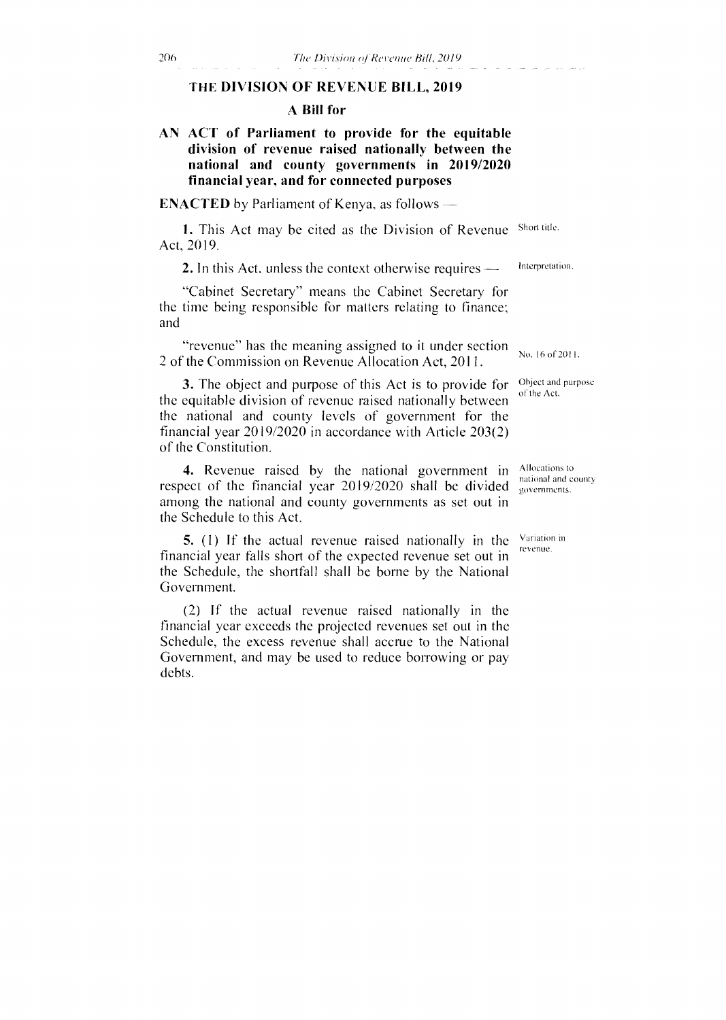### THE **DIVISION OF REVENUE BILL, 2019**

### **A Bill for**

### **AN ACT of Parliament to provide for the equitable division of revenue raised nationally between the national and county governments in 2019/2020 financial year, and for connected purposes**

**ENACTED** by Parliament of Kenya, as follows

1. This Act may be cited as the Division of Revenue Short title. Act, 2019.

2. In this Act, unless the context otherwise requires — Interpretation.

"Cabinet Secretary" means the Cabinet Secretary for the time being responsible for matters relating to finance; and

"revenue" has the meaning assigned to it under section 2 of the Commission on Revenue Allocation Act, 2011.

3. The object and purpose of this Act is to provide for the equitable division of revenue raised nationally between the national and county levels of government for the financial year 2019/2020 in accordance with Article 203(2) of the Constitution.

4. Revenue raised by the national government in respect of the financial year 2019/2020 shall be divided among the national and county governments as set out in the Schedule to this Act.

5. (1) If the actual revenue raised nationally in the financial year falls short of the expected revenue set out in the Schedule, the shortfall shall be borne by the National Government.

(2) If the actual revenue raised nationally in the financial year exceeds the projected revenues set out in the Schedule, the excess revenue shall accrue to the National Government, and may be used to reduce borrowing or pay debts.

No. 16 of 2011.

Object and purpose of the Act.

Allocations to national and county governments.

Variation in revenue.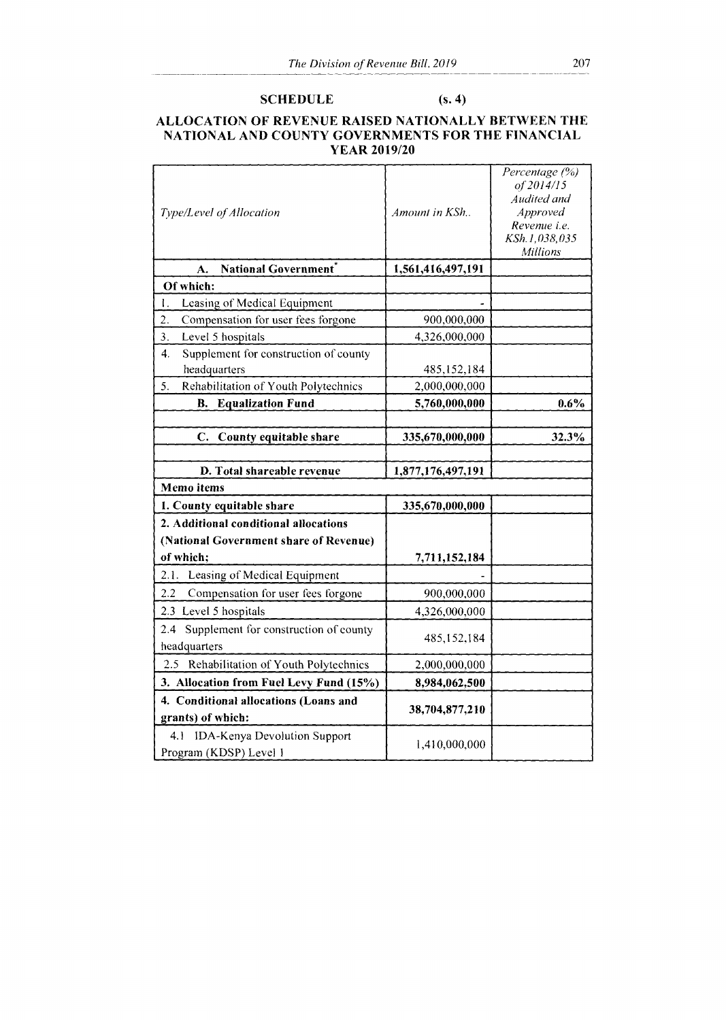### SCHEDULE (s. 4)

### ALLOCATION OF REVENUE RAISED NATIONALLY BETWEEN THE NATIONAL AND COUNTY GOVERNMENTS FOR THE FINANCIAL YEAR 2019/20

| Type/Level of Allocation                                         | Amount in KSh     | Percentage (%)<br>of 2014/15<br>Audited and<br>Approved<br>Revenue <i>i.e.</i><br>KSh.1,038,035<br>Millions |
|------------------------------------------------------------------|-------------------|-------------------------------------------------------------------------------------------------------------|
| National Government*<br>A.                                       | 1,561,416,497,191 |                                                                                                             |
| Of which:                                                        |                   |                                                                                                             |
| Leasing of Medical Equipment<br>I.                               |                   |                                                                                                             |
| 2.<br>Compensation for user fees forgone                         | 900,000,000       |                                                                                                             |
| Level 5 hospitals<br>3.                                          | 4,326,000,000     |                                                                                                             |
| Supplement for construction of county<br>4.                      |                   |                                                                                                             |
| headquarters                                                     | 485,152,184       |                                                                                                             |
| Rehabilitation of Youth Polytechnics<br>5.                       | 2,000,000,000     |                                                                                                             |
| <b>B.</b> Equalization Fund                                      | 5,760,000,000     | 0.6%                                                                                                        |
|                                                                  |                   |                                                                                                             |
| C.<br>County equitable share                                     | 335,670,000,000   | 32.3%                                                                                                       |
|                                                                  |                   |                                                                                                             |
| D. Total shareable revenue                                       | 1,877,176,497,191 |                                                                                                             |
| <b>Memo</b> items                                                |                   |                                                                                                             |
| 1. County equitable share                                        | 335,670,000,000   |                                                                                                             |
| 2. Additional conditional allocations                            |                   |                                                                                                             |
| (National Government share of Revenue)                           |                   |                                                                                                             |
| of which;                                                        |                   |                                                                                                             |
|                                                                  | 7,711,152,184     |                                                                                                             |
| 2.1. Leasing of Medical Equipment                                |                   |                                                                                                             |
| 2.2<br>Compensation for user fees forgone                        | 900,000,000       |                                                                                                             |
| 2.3 Level 5 hospitals                                            | 4,326,000,000     |                                                                                                             |
| Supplement for construction of county<br>$2.4\,$<br>headquarters | 485,152,184       |                                                                                                             |
| 2.5 Rehabilitation of Youth Polytechnics                         | 2,000,000,000     |                                                                                                             |
| 3. Allocation from Fuel Levy Fund (15%)                          | 8,984,062,500     |                                                                                                             |
| 4. Conditional allocations (Loans and<br>grants) of which:       | 38,704,877,210    |                                                                                                             |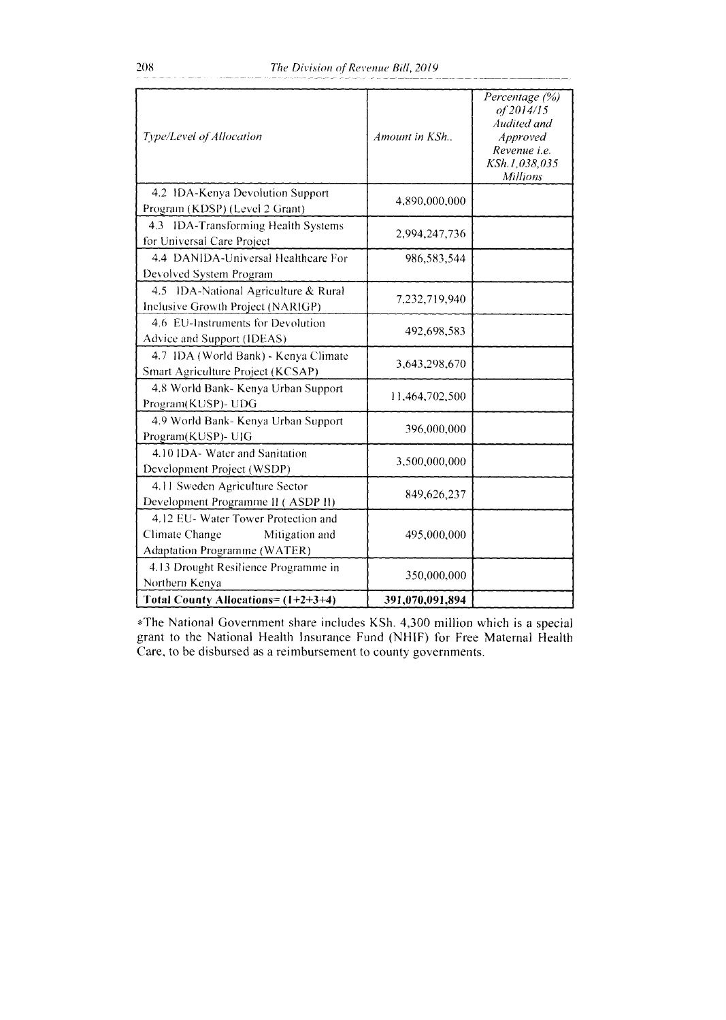| Type/Level of Allocation                                                                                | Amount in KSh   | Percentage (%)<br>of 2014/15<br>Audited and<br><i>Approved</i><br>Revenue i.e.<br>KSh.1,038,035<br><b>Millions</b> |
|---------------------------------------------------------------------------------------------------------|-----------------|--------------------------------------------------------------------------------------------------------------------|
| 4.2 IDA-Kenya Devolution Support<br>Program (KDSP) (Level 2 Grant)                                      | 4,890,000,000   |                                                                                                                    |
| 4.3 IDA-Transforming Health Systems<br>for Universal Care Project                                       | 2,994,247,736   |                                                                                                                    |
| 4.4 DANIDA-Universal Healthcare For<br>Devolved System Program                                          | 986,583,544     |                                                                                                                    |
| 4.5 IDA-National Agriculture & Rural<br>Inclusive Growth Project (NARIGP)                               | 7,232,719,940   |                                                                                                                    |
| 4.6 EU-Instruments for Devolution<br>Advice and Support (IDEAS)                                         | 492,698,583     |                                                                                                                    |
| 4.7 IDA (World Bank) - Kenya Climate<br>Smart Agriculture Project (KCSAP)                               | 3,643,298,670   |                                                                                                                    |
| 4.8 World Bank- Kenya Urban Support<br>Program(KUSP)- UDG                                               | 11,464,702,500  |                                                                                                                    |
| 4.9 World Bank- Kenya Urban Support<br>Program(KUSP)- UIG                                               | 396,000,000     |                                                                                                                    |
| 4.10 IDA- Water and Sanitation<br>Development Project (WSDP)                                            | 3,500,000,000   |                                                                                                                    |
| 4.11 Sweden Agriculture Sector<br>Development Programme II (ASDP II)                                    | 849,626,237     |                                                                                                                    |
| 4.12 EU- Water Tower Protection and<br>Climate Change<br>Mitigation and<br>Adaptation Programme (WATER) | 495,000,000     |                                                                                                                    |
| 4.13 Drought Resilience Programme in<br>Northern Kenya                                                  | 350,000,000     |                                                                                                                    |
| Total County Allocations= (1+2+3+4)                                                                     | 391,070,091,894 |                                                                                                                    |

\*The National Government share includes KSh. 4,300 million which is a special grant to the National Health Insurance Fund (NHIF) for Free Maternal Health Care, to be disbursed as a reimbursement to county governments.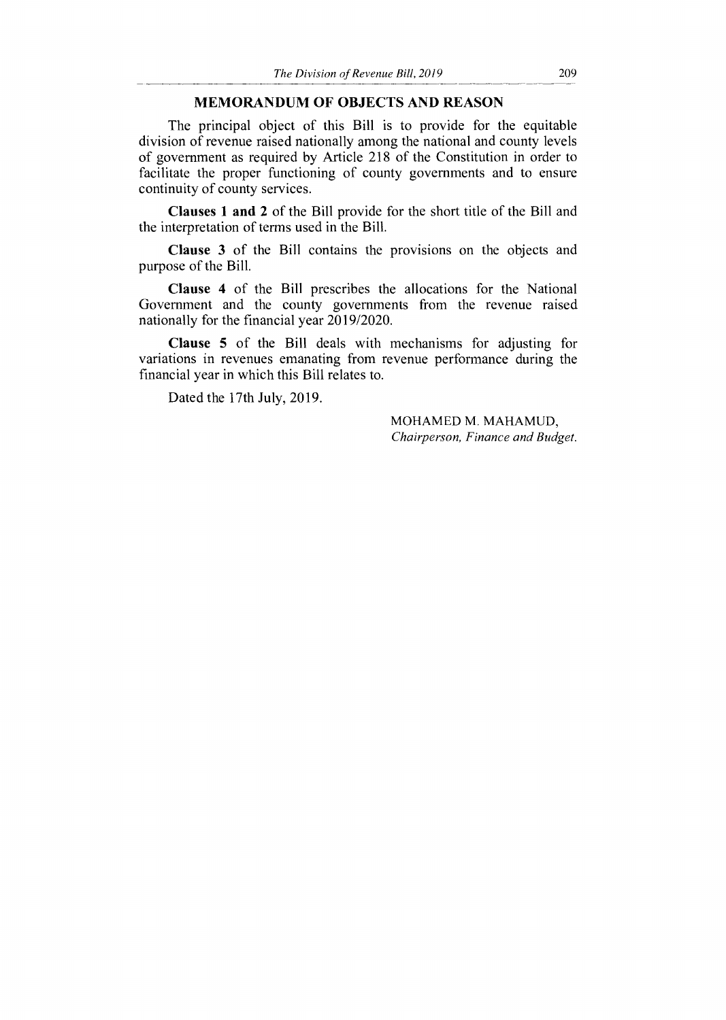### **MEMORANDUM OF OBJECTS AND REASON**

The principal object of this Bill is to provide for the equitable division of revenue raised nationally among the national and county levels of government as required by Article 218 of the Constitution in order to facilitate the proper functioning of county governments and to ensure continuity of county services.

**Clauses 1 and 2** of the Bill provide for the short title of the Bill and the interpretation of terms used in the Bill.

**Clause 3** of the Bill contains the provisions on the objects and purpose of the Bill.

**Clause 4** of the Bill prescribes the allocations for the National Government and the county governments from the revenue raised nationally for the financial year 2019/2020.

**Clause 5** of the Bill deals with mechanisms for adjusting for variations in revenues emanating from revenue performance during the financial year in which this Bill relates to.

Dated the 17th July, 2019.

MOHAMED M. MAHAMUD, *Chairperson, Finance and Budget.*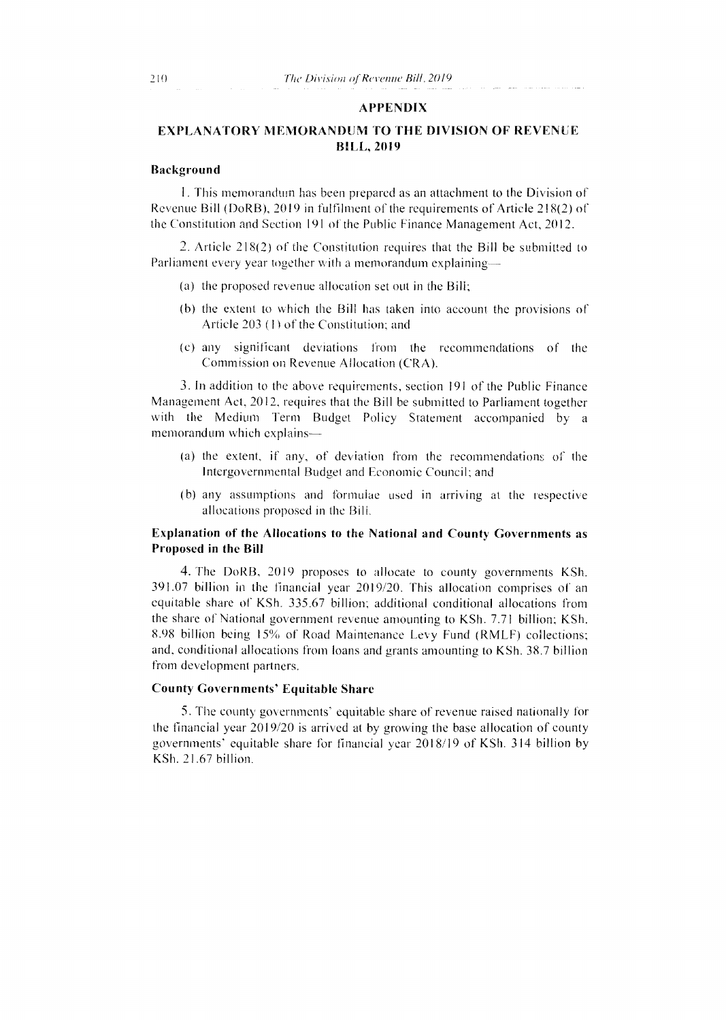### APPENDIX

### EXPLANATORY MEMORANDUM TO THE DIVISION OF REVENUE BILL, 2019

### Background

1. This memorandum has been prepared as an attachment to the Division of Revenue Bill (DoRB), 2019 in fulfilment of the requirements of Article 218(2) of the Constitution and Section 191 of the Public Finance Management Act, 2012.

2. Article 218(2) of the Constitution requires that the Bill be submitted to Parliament every year together with a memorandum explaining—

- (a) the proposed revenue allocation set out in the Bill;
- (b) the extent to which the Bill has taken into account the provisions of Article 203 (1) of the Constitution; and
- (c) any significant deviations from the recommendations of the Commission on Revenue Allocation (CRA).

3. In addition to the above requirements, section 191 of the Public Finance Management Act, 2012, requires that the Bill be submitted to Parliament together with the Medium Term Budget Policy Statement accompanied by a memorandum which explains—

- (a) the extent, if any, of deviation from the recommendations of the Intergovernmental Budget and Economic Council; and
- (b) any assumptions and formulae used in arriving at the respective allocations proposed in the Bill.

### Explanation of the Allocations to the National and County Governments as Proposed in the Bill

4. The DoRB, 2019 proposes to allocate to county governments KSh. 391.07 billion in the financial year 2019/20. This allocation comprises of an equitable share of KSh. 335.67 billion; additional conditional allocations from the share of National government revenue amounting to KSh. 7.71 billion; KSh. 8.98 billion being 15% of Road Maintenance Levy Fund (RMLF) collections; and, conditional allocations from loans and grants amounting to KSh. 38.7 billion from development partners.

### County Governments' Equitable Share

5. The county governments' equitable share of revenue raised nationally for the financial year 2019/20 is arrived at by growing the base allocation of county governments' equitable share for financial year 2018/19 of KSh. 314 billion by KSh. 21.67 billion.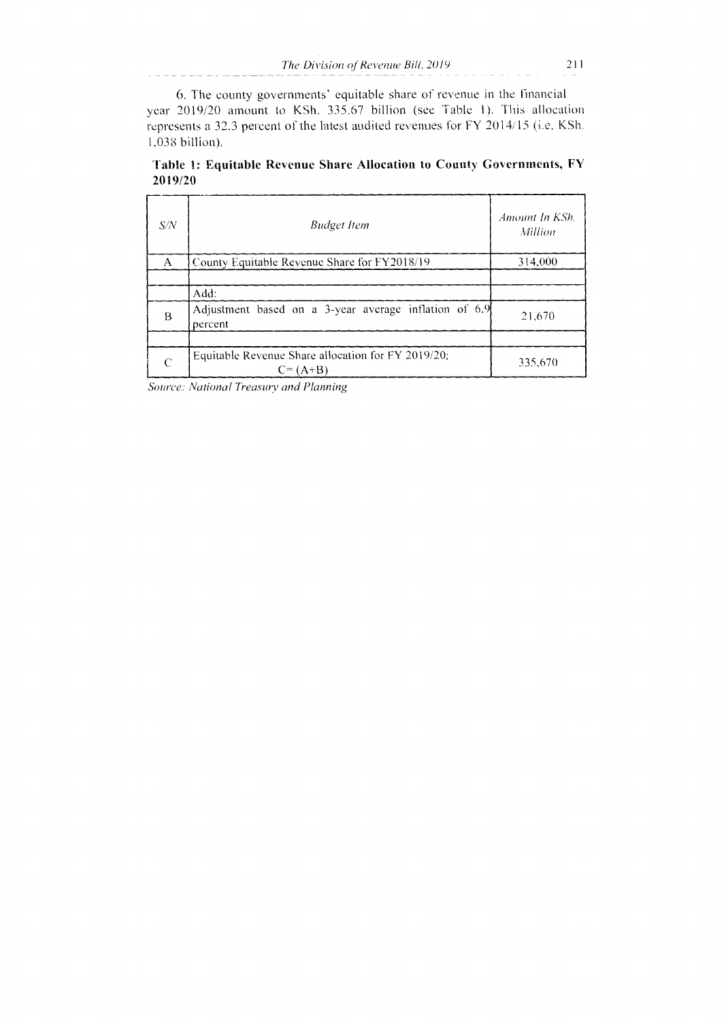6. The county governments' equitable share of revenue in the financial year 2019/20 amount to KSh. 335.67 billion (see Table 1). This allocation represents a 32.3 percent of the latest audited revenues for FY 2014/15 (i.e. KSh. 1,038 billion).

| S/N | <b>Budget Item</b>                                                | Amount In KSh.<br>Million |
|-----|-------------------------------------------------------------------|---------------------------|
| A   | County Equitable Revenue Share for FY2018/19                      | 314,000                   |
|     | Add:                                                              |                           |
| B   | Adjustment based on a 3-year average inflation of 6.9<br>percent  | 21,670                    |
|     |                                                                   |                           |
| C   | Equitable Revenue Share allocation for FY 2019/20;<br>$C = (A+B)$ | 335,670                   |

**Table 1: Equitable Revenue Share Allocation to County Governments, FY 2019/20** 

*Source: Vational Treasury and Planning*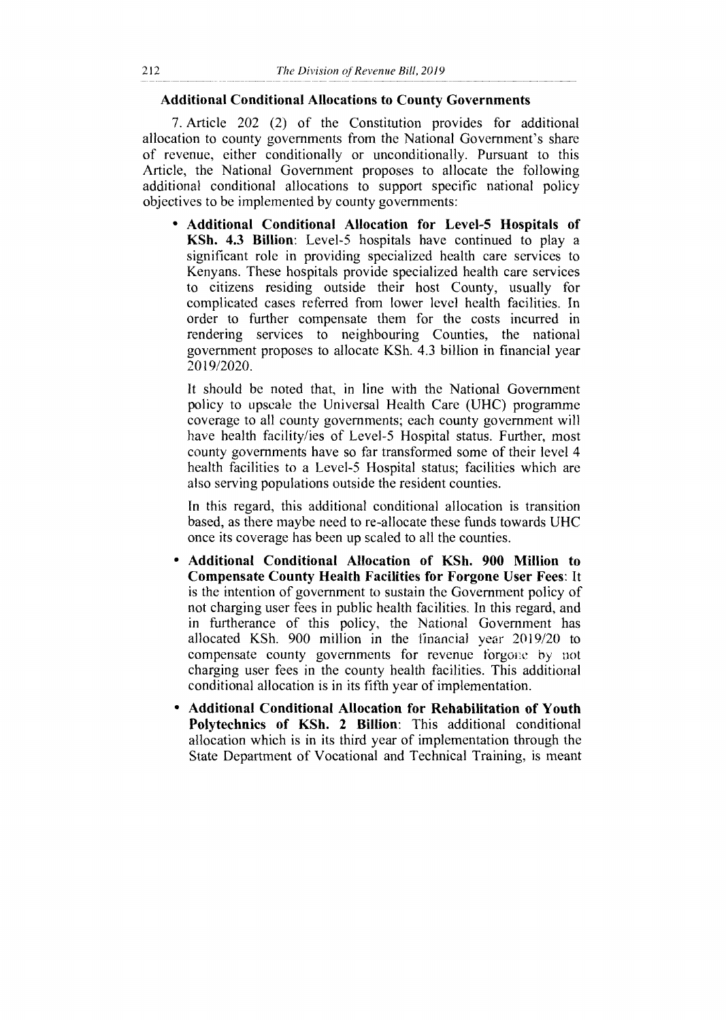### **Additional Conditional Allocations to County Governments**

7. Article 202 (2) of the Constitution provides for additional allocation to county governments from the National Government's share of revenue, either conditionally or unconditionally. Pursuant to this Article, the National Government proposes to allocate the following additional conditional allocations to support specific national policy objectives to be implemented by county governments:

**• Additional Conditional Allocation for Level-5 Hospitals of KSh. 4.3 Billion:** Level-5 hospitals have continued to play a significant role in providing specialized health care services to Kenyans. These hospitals provide specialized health care services to citizens residing outside their host County, usually for complicated cases referred from lower level health facilities. In order to further compensate them for the costs incurred in rendering services to neighbouring Counties, the national government proposes to allocate KSh. 4.3 billion in financial year 2019/2020.

It should be noted that, in line with the National Government policy to upscale the Universal Health Care (UHC) programme coverage to all county governments; each county government will have health facility/ies of Level-5 Hospital status. Further, most county governments have so far transformed some of their level 4 health facilities to a Level-5 Hospital status; facilities which are also serving populations outside the resident counties.

In this regard, this additional conditional allocation is transition based, as there maybe need to re-allocate these funds towards UHC once its coverage has been up scaled to all the counties.

- **Additional Conditional Allocation of KSh. 900 Million to Compensate County Health Facilities for Forgone User Fees:** It is the intention of government to sustain the Government policy of not charging user fees in public health facilities. In this regard, and in furtherance of this policy, the National Government has allocated KSh. 900 million in the financial year 2019/20 to compensate county governments for revenue forgone by not charging user fees in the county health facilities. This additional conditional allocation is in its fifth year of implementation.
- **Additional Conditional Allocation for Rehabilitation of Youth Polytechnics of KSh. 2 Billion:** This additional conditional allocation which is in its third year of implementation through the State Department of Vocational and Technical Training, is meant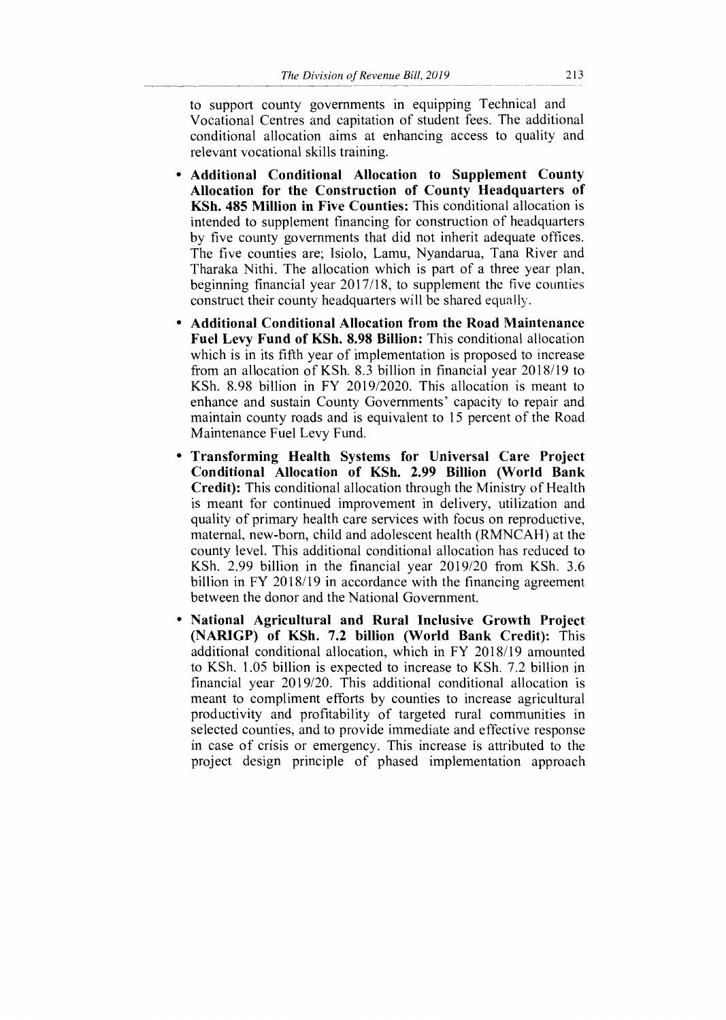to support county governments in equipping Technical and Vocational Centres and capitation of student fees. The additional conditional allocation aims at enhancing access to quality and relevant vocational skills training.

- **Additional Conditional Allocation to Supplement County Allocation for the Construction of County Headquarters of KSh. 485 Million in Five Counties:** This conditional allocation is intended to supplement financing for construction of headquarters by five county governments that did not inherit adequate offices. The five counties are; Isiolo, Lamu, Nyandarua, Tana River and Tharaka Nithi. The allocation which is part of a three year plan, beginning financial year 2017/18, to supplement the five counties construct their county headquarters will be shared equally.
- **Additional Conditional Allocation from the Road Maintenance Fuel Levy Fund of KSh. 8.98 Billion:** This conditional allocation which is in its fifth year of implementation is proposed to increase from an allocation of KSh. 8.3 billion in financial year 2018/19 to KSh. 8.98 billion in FY 2019/2020. This allocation is meant to enhance and sustain County Governments' capacity to repair and maintain county roads and is equivalent to 15 percent of the Road Maintenance Fuel Levy Fund.
- **Transforming Health Systems for Universal Care Project Conditional Allocation of KSh. 2.99 Billion (World Bank Credit):** This conditional allocation through the Ministry of Health is meant for continued improvement in delivery, utilization and quality of primary health care services with focus on reproductive, maternal, new-born, child and adolescent health (RMNCAH) at the county level. This additional conditional allocation has reduced to KSh. 2.99 billion in the financial year 2019/20 from KSh. 3.6 billion in FY 2018/19 in accordance with the financing agreement between the donor and the National Government.
- **National Agricultural and Rural Inclusive Growth Project (NARIGP) of KSh. 7.2 billion (World Bank Credit):** This additional conditional allocation, which in FY 2018/19 amounted to KSh. 1.05 billion is expected to increase to KSh. 7.2 billion in financial year 2019/20. This additional conditional allocation is meant to compliment efforts by counties to increase agricultural productivity and profitability of targeted rural communities in selected counties, and to provide immediate and effective response in case of crisis or emergency. This increase is attributed to the project design principle of phased implementation approach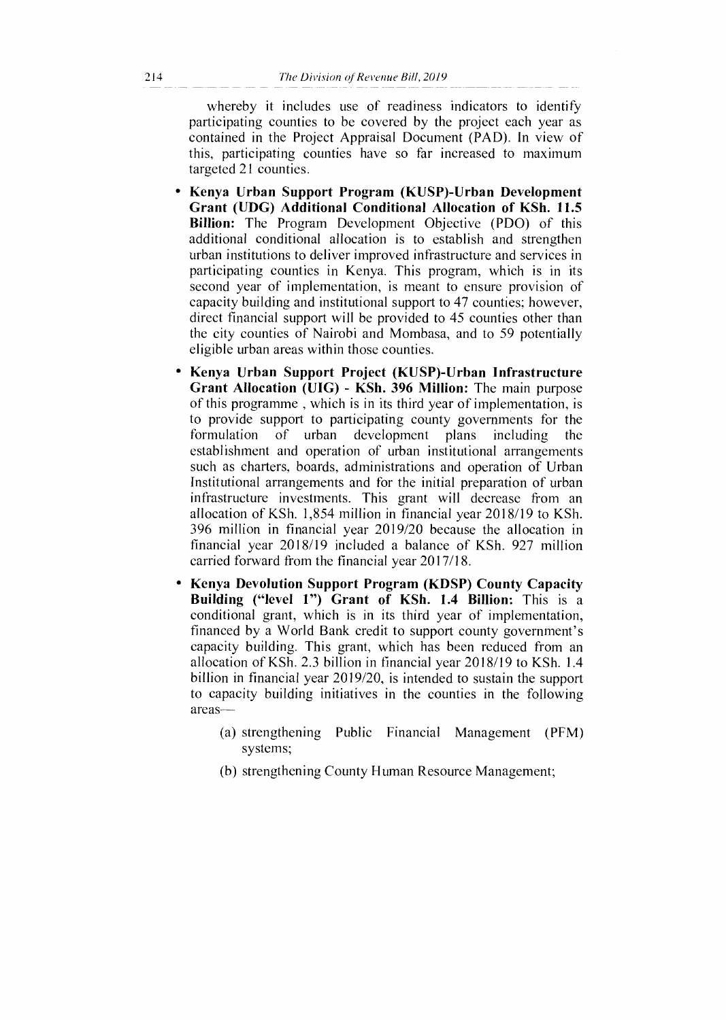whereby it includes use of readiness indicators to identify participating counties to be covered by the project each year as contained in the Project Appraisal Document (PAD). In view of this, participating counties have so far increased to maximum targeted 21 counties.

- **Kenya Urban Support Program (KUSP)-Urban Development Grant (UDG) Additional Conditional Allocation of KSh. 11.5 Billion:** The Program Development Objective (PDO) of this additional conditional allocation is to establish and strengthen urban institutions to deliver improved infrastructure and services in participating counties in Kenya. This program, which is in its second year of implementation, is meant to ensure provision of capacity building and institutional support to 47 counties; however, direct financial support will be provided to 45 counties other than the city counties of Nairobi and Mombasa, and to 59 potentially eligible urban areas within those counties.
- **Kenya Urban Support Project (KUSP)-Urban Infrastructure Grant Allocation (UIG) - KSh. 396 Million:** The main purpose of this programme , which is in its third year of implementation, is to provide support to participating county governments for the formulation of urban development plans including the establishment and operation of urban institutional arrangements such as charters, boards, administrations and operation of Urban Institutional arrangements and for the initial preparation of urban infrastructure investments. This grant will decrease from an allocation of KSh. 1,854 million in financial year 2018/19 to KSh. 396 million in financial year 2019/20 because the allocation in financial year 2018/19 included a balance of KSh. 927 million carried forward from the financial year 2017/18.
- **Kenya Devolution Support Program (KDSP) County Capacity Building ("level 1") Grant of KSh. 1.4 Billion:** This is a conditional grant, which is in its third year of implementation, financed by a World Bank credit to support county government's capacity building. This grant, which has been reduced from an allocation of KSh. 2.3 billion in financial year 2018/19 to KSh. 1.4 billion in financial year 2019/20, is intended to sustain the support to capacity building initiatives in the counties in the following areas—
	- (a) strengthening Public Financial Management (PFM) systems;
	- (b) strengthening County Human Resource Management;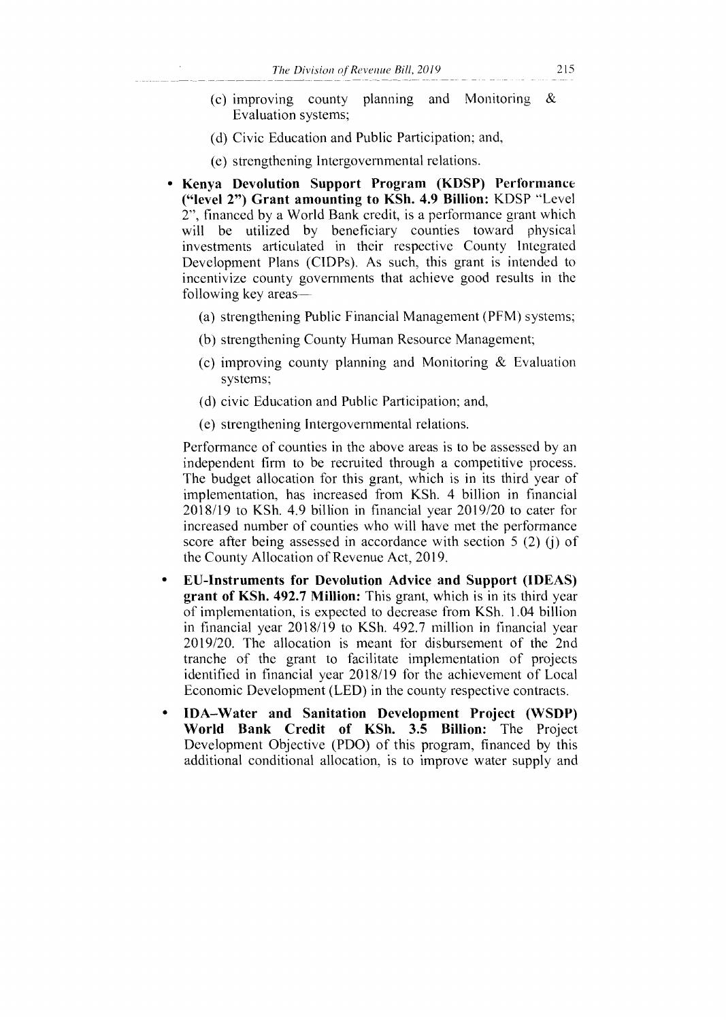- (c) improving county planning and Monitoring & Evaluation systems;
- (d) Civic Education and Public Participation; and,
- (e) strengthening Intergovernmental relations.
- **Kenya Devolution Support Program (KDSP) Performance ("level 2") Grant amounting to KSh. 4.9 Billion:** KDSP "Level 2", financed by a World Bank credit, is a performance grant which will be utilized by beneficiary counties toward physical investments articulated in their respective County Integrated Development Plans (CIDPs). As such, this grant is intended to incentivize county governments that achieve good results in the following key areas—
	- (a) strengthening Public Financial Management (PFM) systems;
	- (b) strengthening County Human Resource Management;
	- (c) improving county planning and Monitoring & Evaluation systems;
	- (d) civic Education and Public Participation; and,
	- (e) strengthening Intergovernmental relations.

Performance of counties in the above areas is to be assessed by an independent firm to be recruited through a competitive process. The budget allocation for this grant, which is in its third year of implementation, has increased from KSh. 4 billion in financial 2018/19 to KSh. 4.9 billion in financial year 2019/20 to cater for increased number of counties who will have met the performance score after being assessed in accordance with section 5 (2) (j) of the County Allocation of Revenue Act, 2019.

- **EU-Instruments for Devolution Advice and Support (IDEAS) grant of KSh. 492.7 Million:** This grant, which is in its third year of implementation, is expected to decrease from KSh. 1.04 billion in financial year 2018/19 to KSh. 492.7 million in financial year 2019/20. The allocation is meant for disbursement of the 2nd tranche of the grant to facilitate implementation of projects identified in financial year 2018/19 for the achievement of Local Economic Development (LED) in the county respective contracts.
- **IDA—Water and Sanitation Development Project (WSDP) World Bank Credit of KSh. 3.5 Billion:** The Project Development Objective (PDO) of this program, financed by this additional conditional allocation, is to improve water supply and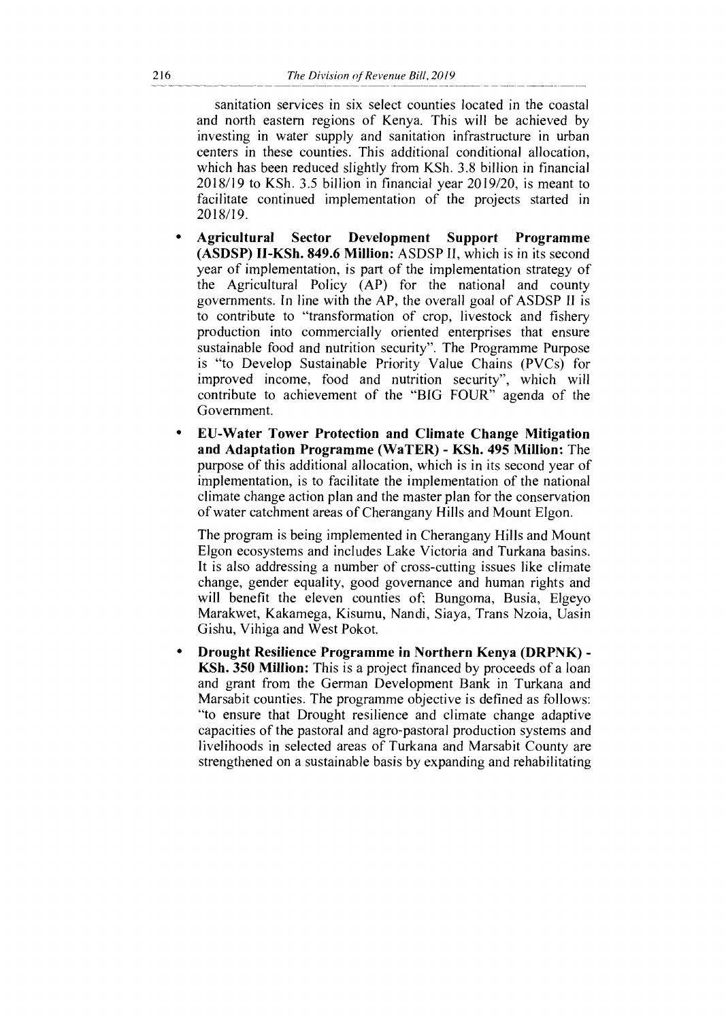sanitation services in six select counties located in the coastal and north eastern regions of Kenya. This will be achieved by investing in water supply and sanitation infrastructure in urban centers in these counties. This additional conditional allocation, which has been reduced slightly from KSh. 3.8 billion in financial 2018/19 to KSh. 3.5 billion in financial year 2019/20, is meant to facilitate continued implementation of the projects started in 2018/19.

- **Agricultural Sector Development Support Programme (ASDSP) H-KSh. 849.6 Million:** ASDSP II, which is in its second year of implementation, is part of the implementation strategy of the Agricultural Policy (AP) for the national and county governments. In line with the AP, the overall goal of ASDSP II is to contribute to "transformation of crop, livestock and fishery production into commercially oriented enterprises that ensure sustainable food and nutrition security". The Programme Purpose is "to Develop Sustainable Priority Value Chains (PVCs) for improved income, food and nutrition security", which will contribute to achievement of the "BIG FOUR" agenda of the Government.
- **EU-Water Tower Protection and Climate Change Mitigation and Adaptation Programme (WaTER) - KSh. 495 Million:** The purpose of this additional allocation, which is in its second year of implementation, is to facilitate the implementation of the national climate change action plan and the master plan for the conservation of water catchment areas of Cherangany Hills and Mount Elgon.

The program is being implemented in Cherangany Hills and Mount Elgon ecosystems and includes Lake Victoria and Turkana basins. It is also addressing a number of cross-cutting issues like climate change, gender equality, good governance and human rights and will benefit the eleven counties of; Bungoma, Busia, Elgeyo Marakwet, Kakamega, Kisumu, Nandi, Siaya, Trans Nzoia, Uasin Gishu, Vihiga and West Pokot.

**• Drought Resilience Programme in Northern Kenya (DRPNK) - KSh. 350 Million:** This is a project financed by proceeds of a loan and grant from the German Development Bank in Turkana and Marsabit counties. The programme objective is defined as follows: "to ensure that Drought resilience and climate change adaptive capacities of the pastoral and agro-pastoral production systems and livelihoods in selected areas of Turkana and Marsabit County are strengthened on a sustainable basis by expanding and rehabilitating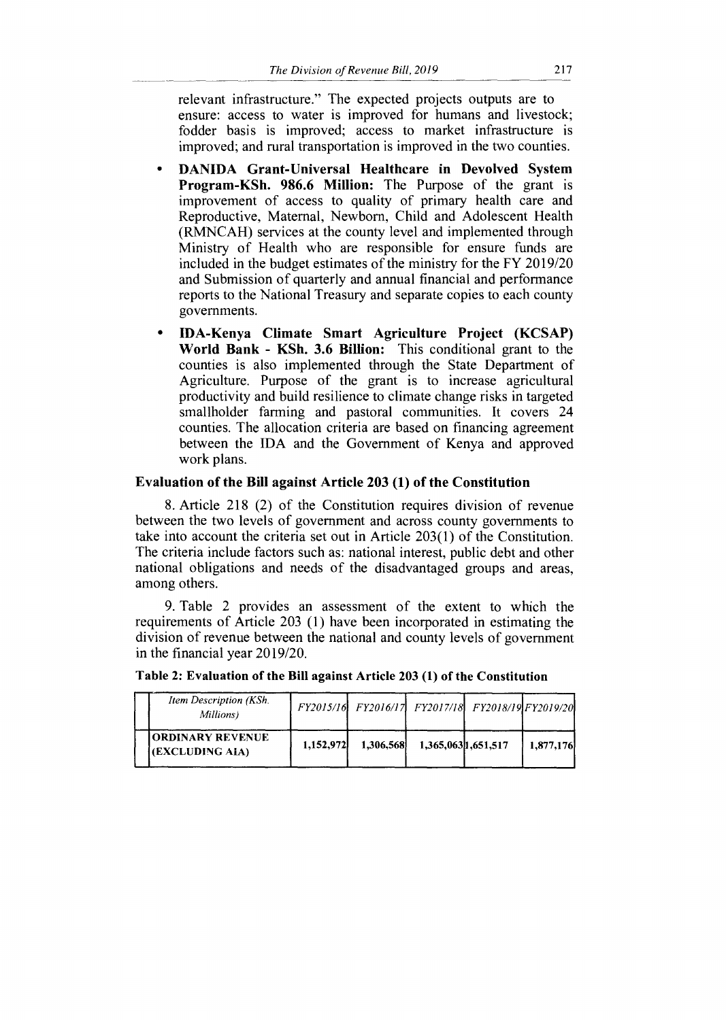relevant infrastructure." The expected projects outputs are to ensure: access to water is improved for humans and livestock; fodder basis is improved; access to market infrastructure is improved; and rural transportation is improved in the two counties.

- **DANIDA Grant-Universal Healthcare in Devolved System Program-KSh. 986.6 Million:** The Purpose of the grant is improvement of access to quality of primary health care and Reproductive, Maternal, Newborn, Child and Adolescent Health (RMNCAH) services at the county level and implemented through Ministry of Health who are responsible for ensure funds are included in the budget estimates of the ministry for the FY 2019/20 and Submission of quarterly and annual financial and performance reports to the National Treasury and separate copies to each county governments.
- **IDA-Kenya Climate Smart Agriculture Project (KCSAP) World Bank - KSh. 3.6 Billion:** This conditional grant to the counties is also implemented through the State Department of Agriculture. Purpose of the grant is to increase agricultural productivity and build resilience to climate change risks in targeted smallholder farming and pastoral communities. It covers 24 counties. The allocation criteria are based on financing agreement between the IDA and the Government of Kenya and approved work plans.

### **Evaluation of the Bill against Article 203 (1) of the Constitution**

8. Article 218 (2) of the Constitution requires division of revenue between the two levels of government and across county governments to take into account the criteria set out in Article 203(1) of the Constitution. The criteria include factors such as: national interest, public debt and other national obligations and needs of the disadvantaged groups and areas, among others.

9. Table 2 provides an assessment of the extent to which the requirements of Article 203 (1) have been incorporated in estimating the division of revenue between the national and county levels of government in the financial year 2019/20.

| Item Description (KSh.<br>Millions) |           |           |                    | FY2015/16 FY2016/17 FY2017/18 FY2018/19 FY2019/20 |           |
|-------------------------------------|-----------|-----------|--------------------|---------------------------------------------------|-----------|
| ORDINARY REVENUE<br>(EXCLUDING AIA) | 1.152.972 | 1.306.568 | 1,365,0631,651,517 |                                                   | 1,877,176 |

**Table 2: Evaluation of the Bill against Article 203 (1) of the Constitution**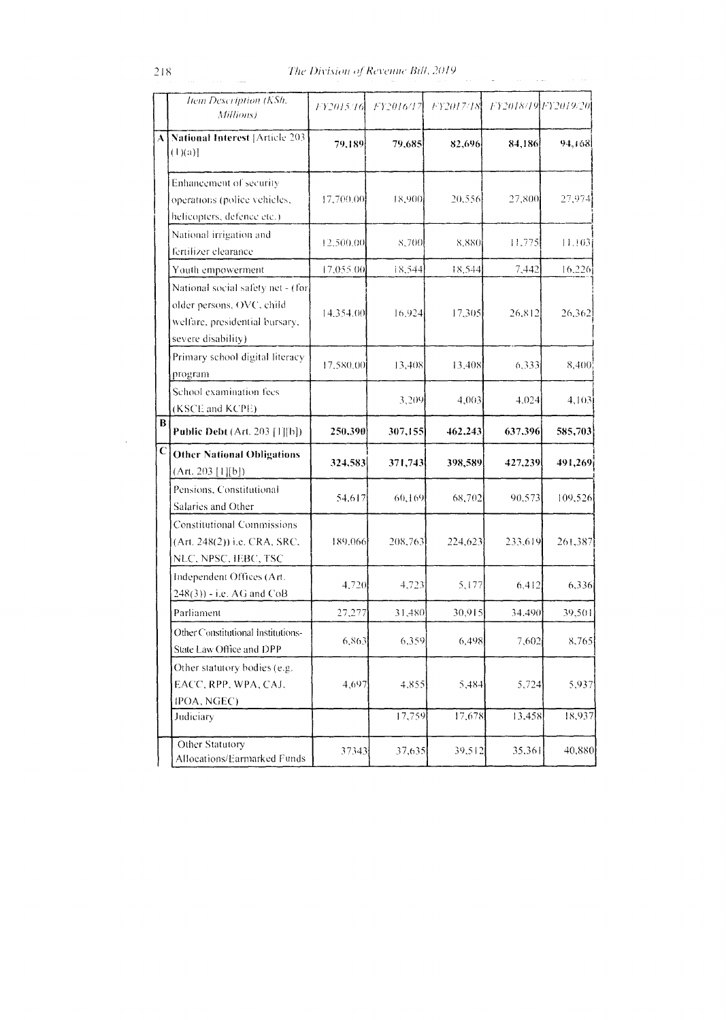|             | Item Description (KSh.<br>Millions)                                                                                    | FY2015/16 | FY2016/17 | FY2017/18 | FY2018/19 FY2019/20 |         |
|-------------|------------------------------------------------------------------------------------------------------------------------|-----------|-----------|-----------|---------------------|---------|
| A           | <b>National Interest [Article 203</b><br>$(1)(a)$ ]                                                                    | 79,189    | 79,685    | 82,696    | 84,186              | 94,168  |
|             | Enhancement of security<br>operations (police vehicles,<br>helicopters, defence etc.)                                  | 17,700.00 | 18,900    | 20,556    | 27,800              | 27,974  |
|             | National irrigation and<br>fertilizer clearance                                                                        | 12,500.00 | 8,700     | 8,880     | 11.775              | 11.103  |
|             | Youth empowerment                                                                                                      | 17,055.00 | 18,544    | 18,544    | 7,442               | 16,226  |
|             | National social safety net - (for<br>older persons, OVC, child<br>welfare, presidential bursary,<br>severe disability) | 14,354.00 | 16,924    | 17,305    | 26,812              | 26,362  |
|             | Primary school digital literacy<br>program                                                                             | 17.580.00 | 13,408    | 13,408    | 6.333               | 8,400   |
|             | School examination fees<br>(KSCE and KCPE)                                                                             |           | 3,209     | 4,003     | 4,024               | 4,103   |
| B           | <b>Public Debt</b> (Art. 203 [1][b])                                                                                   | 250,3901  | 307,155   | 462,243   | 637,396             | 585,703 |
| $\mathbf C$ | <b>Other National Obligations</b><br>(Art. 203 [1][b])                                                                 | 324,583   | 371,743   | 398,589   | 427,239             | 491,269 |
|             | Pensions, Constitutional<br>Salaries and Other                                                                         | 54,617    | 60,169    | 68,702    | 90,573              | 109,526 |
|             | <b>Constitutional Commissions</b><br>(Art. 248(2)) i.e. CRA, SRC,<br>NLC, NPSC, IEBC, TSC                              | 189,066   | 208,763   | 224,623   | 233,619             | 261,387 |
|             | Independent Offices (Art.<br>$248(3)$ ) - i.e. AG and CoB                                                              | 4.720     | 4,723     | 5,177     | 6,412               | 6,336   |
|             | Parliament                                                                                                             | 27,277    | 31,480    | 30,915    | 34.490              | 39,501  |
|             | Other Constitutional Institutions-<br>State Law Office and DPP                                                         | 6,863     | 6,359     | 6,498     | 7,602               | 8,765   |
|             | Other statutory bodies (e.g.<br>EACC, RPP, WPA, CAJ,<br>IPOA, NGEC)                                                    | 4,697     | 4,855     | 5,484     | 5,724               | 5,937   |
|             | Judiciary                                                                                                              |           | 17,759    | 17,678    | 13,458              | 18,937  |
|             | Other Statutory<br>Allocations/Earmarked Funds                                                                         | 37343     | 37,635    | 39,512    | 35,361              | 40,880  |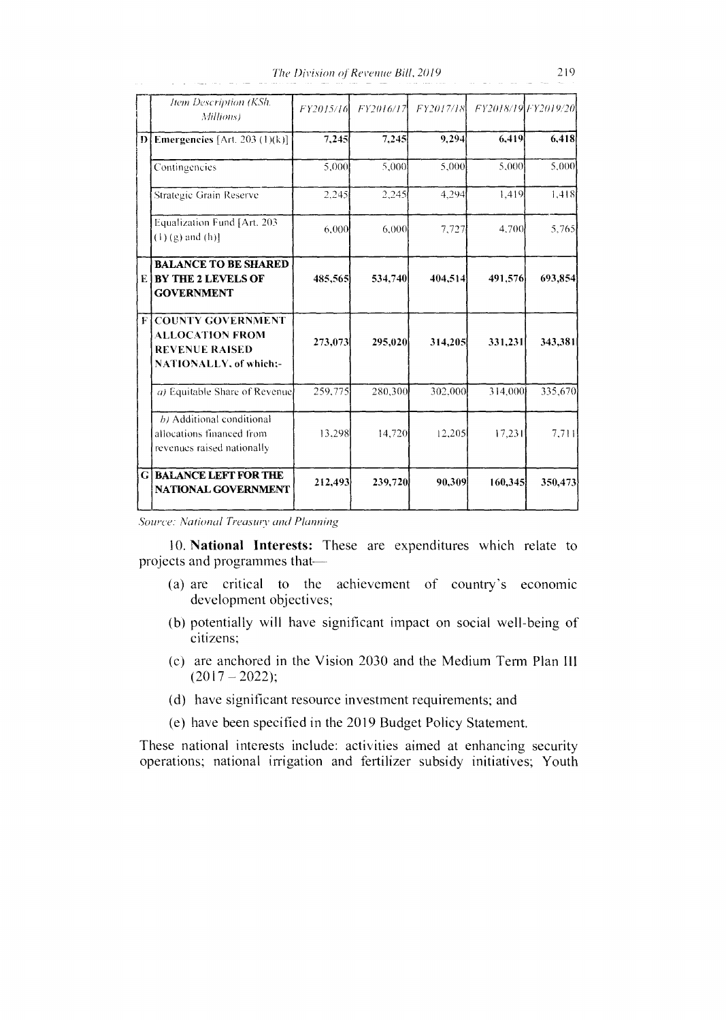*The Division of Revenue Bill, 2019* 219

|   | Item Description (KSh.<br>Millions)                                                                          | FY2015/16 | FY2016/17 | FY2017/18 |         | FY2018/19 FY2019/20 |
|---|--------------------------------------------------------------------------------------------------------------|-----------|-----------|-----------|---------|---------------------|
| Ð | Emergencies [Art. 203 (1)(k)]                                                                                | 7,245     | 7,245     | 9,294     | 6,419   | 6,418               |
|   | Contingencies                                                                                                | 5,000     | 5.000     | 5.000     | 5.000   | 5.000               |
|   | Strategic Grain Reserve                                                                                      | 2.245     | 2,245     | 4,294     | 1.419   | 1.418               |
|   | Equalization Fund [Art. 203<br>$(1)$ (g) and (h)]                                                            | 6,000     | 6,000     | 7,727     | 4,700   | 5.765               |
|   | <b>BALANCE TO BE SHARED</b><br><b>E BY THE 2 LEVELS OF</b><br><b>GOVERNMENT</b>                              | 485,565   | 534,740   | 404,514   | 491,576 | 693,854             |
| F | <b>COUNTY GOVERNMENT</b><br><b>ALLOCATION FROM</b><br><b>REVENUE RAISED</b><br><b>NATIONALLY, of which:-</b> | 273,073   | 295,020   | 314,205   | 331,231 | 343,381             |
|   | a) Equitable Share of Revenue                                                                                | 259,775   | 280,300   | 302,000   | 314,000 | 335,670             |
|   | b) Additional conditional<br>allocations financed from<br>revenues raised nationally                         | 13,298    | 14,720    | 12,205    | 17,231  | 7,711               |
|   | <b>GIBALANCE LEFT FOR THE</b><br><b>NATIONAL GOVERNMENT</b>                                                  | 212,493   | 239,720   | 90,309    | 160,345 | 350,473             |

*Source: National Treasury and Planning* 

10. National Interests: These are expenditures which relate to projects and programmes that

- (a) are critical to the achievement of country's economic development objectives;
- (b) potentially will have significant impact on social well-being of citizens;
- (c) are anchored in the Vision 2030 and the Medium Term Plan III  $(2017 - 2022);$
- (d) have significant resource investment requirements; and
- (e) have been specified in the 2019 Budget Policy Statement.

These national interests include: activities aimed at enhancing security operations; national irrigation and fertilizer subsidy initiatives; Youth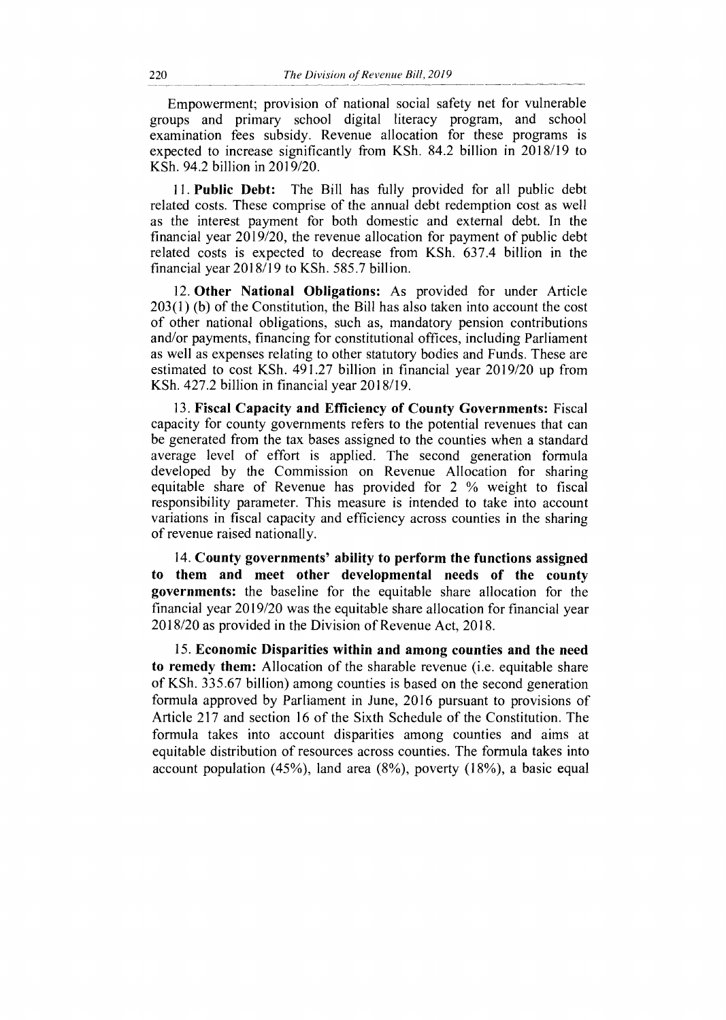Empowerment; provision of national social safety net for vulnerable groups and primary school digital literacy program, and school examination fees subsidy. Revenue allocation for these programs is expected to increase significantly from KSh. 84.2 billion in 2018/19 to KSh. 94.2 billion in 2019/20.

**11. Public Debt:** The Bill has fully provided for all public debt related costs. These comprise of the annual debt redemption cost as well as the interest payment for both domestic and external debt. In the financial year 2019/20, the revenue allocation for payment of public debt related costs is expected to decrease from KSh. 637.4 billion in the financial year 2018/19 to KSh. 585.7 billion.

**12. Other National Obligations:** As provided for under Article 203(1) (b) of the Constitution, the Bill has also taken into account the cost of other national obligations, such as, mandatory pension contributions and/or payments, financing for constitutional offices, including Parliament as well as expenses relating to other statutory bodies and Funds. These are estimated to cost KSh. 491.27 billion in financial year 2019/20 up from KSh. 427.2 billion in financial year 2018/19.

**13. Fiscal Capacity and Efficiency of County Governments:** Fiscal capacity for county governments refers to the potential revenues that can be generated from the tax bases assigned to the counties when a standard average level of effort is applied. The second generation formula developed by the Commission on Revenue Allocation for sharing equitable share of Revenue has provided for 2 % weight to fiscal responsibility parameter. This measure is intended to take into account variations in fiscal capacity and efficiency across counties in the sharing of revenue raised nationally.

**14. County governments' ability to perform the functions assigned to them and meet other developmental needs of the county governments:** the baseline for the equitable share allocation for the financial year 2019/20 was the equitable share allocation for financial year 2018/20 as provided in the Division of Revenue Act, 2018.

**15. Economic Disparities within and among counties and the need to remedy them:** Allocation of the sharable revenue (i.e. equitable share of KSh. 335.67 billion) among counties is based on the second generation formula approved by Parliament in June, 2016 pursuant to provisions of Article 217 and section 16 of the Sixth Schedule of the Constitution. The formula takes into account disparities among counties and aims at equitable distribution of resources across counties. The formula takes into account population (45%), land area (8%), poverty (18%), a basic equal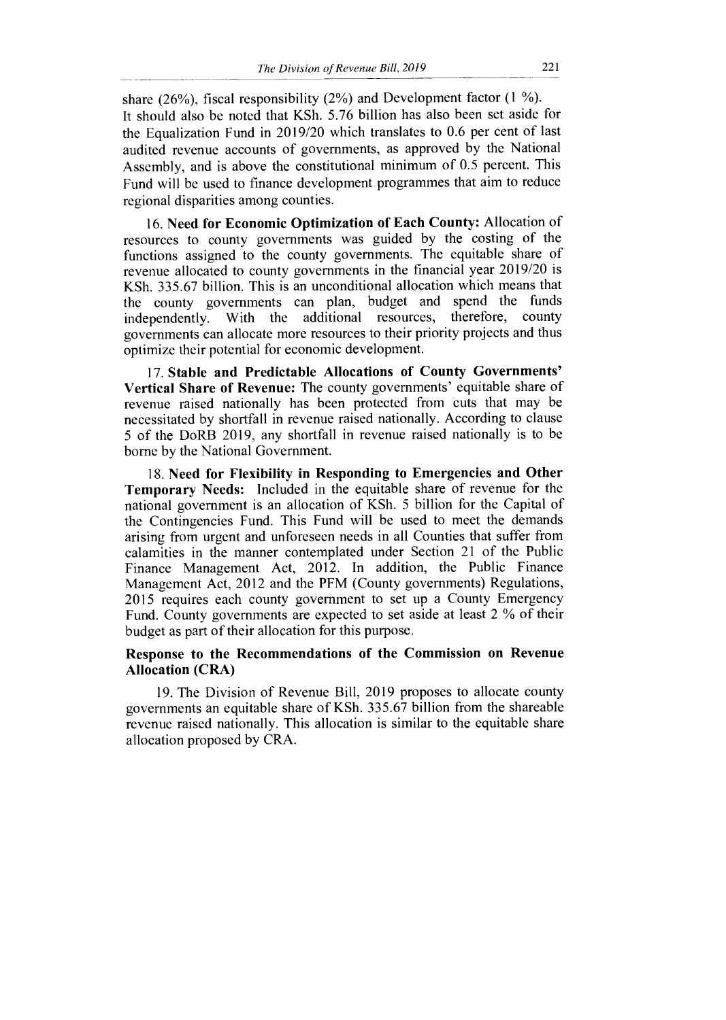share (26%), fiscal responsibility (2%) and Development factor (1 %). It should also be noted that KSh. 5.76 billion has also been set aside for the Equalization Fund in 2019/20 which translates to 0.6 per cent of last audited revenue accounts of governments, as approved by the National Assembly, and is above the constitutional minimum of 0.5 percent. This Fund will be used to finance development programmes that aim to reduce regional disparities among counties.

**16. Need for Economic Optimization of Each County:** Allocation of resources to county governments was guided by the costing of the functions assigned to the county governments. The equitable share of revenue allocated to county governments in the financial year 2019/20 is KSh. 335.67 billion. This is an unconditional allocation which means that the county governments can plan, budget and spend the funds independently. With the additional resources, therefore, county independently. With the additional resources, governments can allocate more resources to their priority projects and thus optimize their potential for economic development.

**17. Stable and Predictable Allocations of County Governments' Vertical Share of Revenue:** The county governments' equitable share of revenue raised nationally has been protected from cuts that may be necessitated by shortfall in revenue raised nationally. According to clause 5 of the DoRB 2019, any shortfall in revenue raised nationally is to be borne by the National Government.

**18. Need for Flexibility in Responding to Emergencies and Other Temporary Needs:** Included in the equitable share of revenue for the national government is an allocation of KSh. 5 billion for the Capital of the Contingencies Fund. This Fund will be used to meet the demands arising from urgent and unforeseen needs in all Counties that suffer from calamities in the manner contemplated under Section 21 of the Public Finance Management Act, 2012. In addition, the Public Finance Management Act, 2012 and the PFM (County governments) Regulations, 2015 requires each county government to set up a County Emergency Fund. County governments are expected to set aside at least 2 % of their budget as part of their allocation for this purpose.

## **Response to the Recommendations of the Commission on Revenue Allocation (CRA)**

19. The Division of Revenue Bill, 2019 proposes to allocate county governments an equitable share of KSh. 335.67 billion from the shareable revenue raised nationally. This allocation is similar to the equitable share allocation proposed by CRA.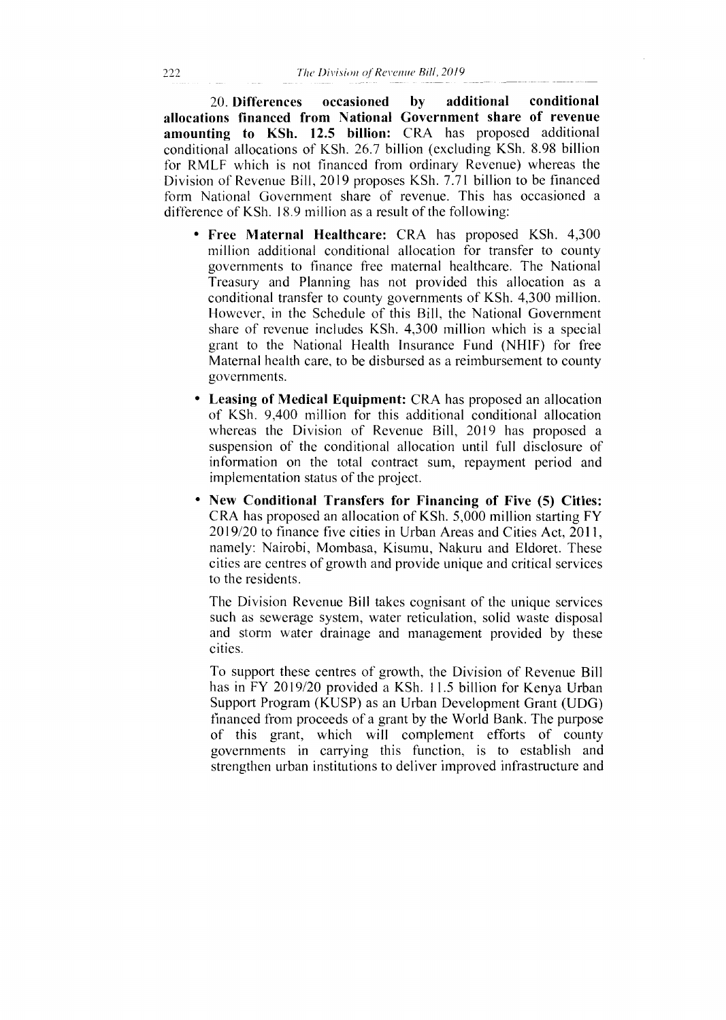20. **Differences occasioned by additional conditional allocations financed from National Government share of revenue amounting to KSh. 12.5 billion:** CRA has proposed additional conditional allocations of KSh. 26.7 billion (excluding KSh. 8.98 billion for RMLF which is not financed from ordinary Revenue) whereas the Division of Revenue Bill, 2019 proposes KSh. 7.71 billion to be financed form National Government share of revenue. This has occasioned a difference of KSh. 18.9 million as a result of the following:

- **Free Maternal Healthcare:** CRA has proposed KSh. 4,300 million additional conditional allocation for transfer to county governments to finance free maternal healthcare. The National Treasury and Planning has not provided this allocation as a conditional transfer to county governments of KSh. 4,300 million. However, in the Schedule of this Bill, the National Government share of revenue includes KSh. 4,300 million which is a special grant to the National Health Insurance Fund (NHIF) for free Maternal health care, to be disbursed as a reimbursement to county governments.
- **Leasing of Medical Equipment:** CRA has proposed an allocation of KSh. 9,400 million for this additional conditional allocation whereas the Division of Revenue Bill, 2019 has proposed a suspension of the conditional allocation until full disclosure of information on the total contract sum, repayment period and implementation status of the project.
- **New Conditional Transfers for Financing of Five (5) Cities:**  CRA has proposed an allocation of KSh. 5,000 million starting FY 2019/20 to finance five cities in Urban Areas and Cities Act, 2011, namely: Nairobi, Mombasa, Kisumu, Nakuru and Eldoret. These cities are centres of growth and provide unique and critical services to the residents.

The Division Revenue Bill takes cognisant of the unique services such as sewerage system, water reticulation, solid waste disposal and storm water drainage and management provided by these cities.

To support these centres of growth, the Division of Revenue Bill has in FY 2019/20 provided a KSh. 11.5 billion for Kenya Urban Support Program (KUSP) as an Urban Development Grant (UDG) financed from proceeds of a grant by the World Bank. The purpose of this grant, which will complement efforts of county governments in carrying this function, is to establish and strengthen urban institutions to deliver improved infrastructure and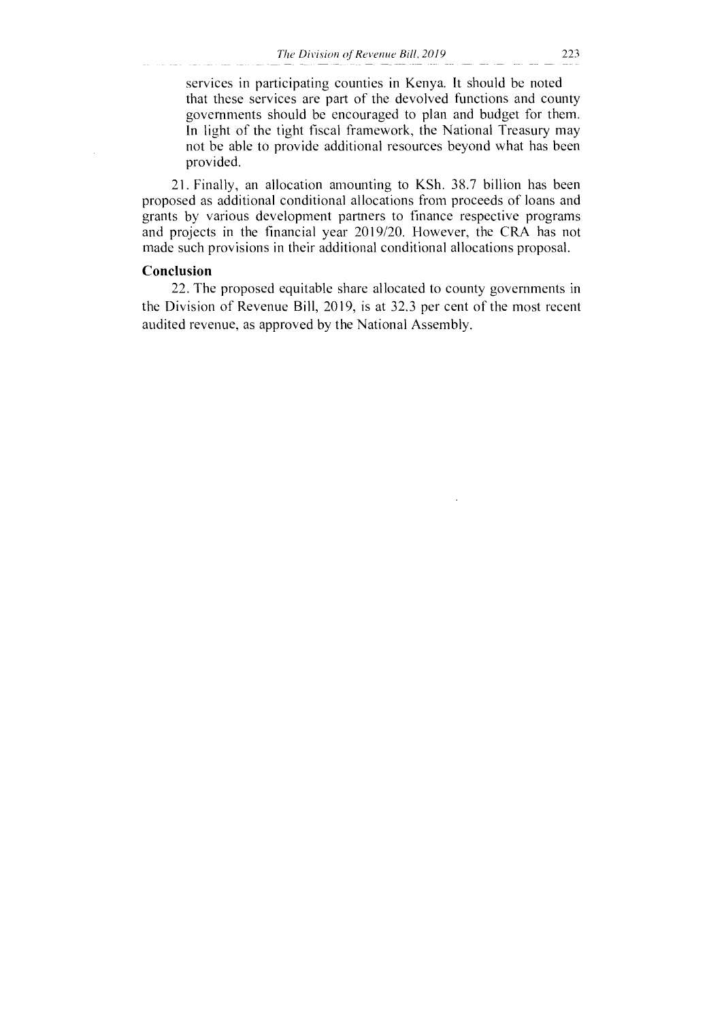services in participating counties in Kenya. It should be noted that these services are part of the devolved functions and county governments should be encouraged to plan and budget for them. In light of the tight fiscal framework, the National Treasury may not be able to provide additional resources beyond what has been provided.

21. Finally, an allocation amounting to KSh. 38.7 billion has been proposed as additional conditional allocations from proceeds of loans and grants by various development partners to finance respective programs and projects in the financial year 2019/20. However, the CRA has not made such provisions in their additional conditional allocations proposal.

### Conclusion

22. The proposed equitable share allocated to county governments in the Division of Revenue Bill, 2019, is at 32.3 per cent of the most recent audited revenue, as approved by the National Assembly.